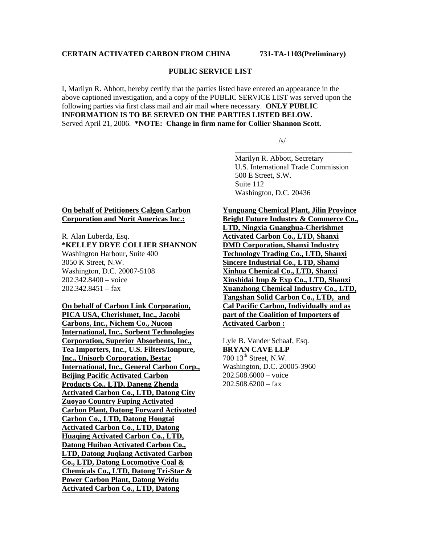## **PUBLIC SERVICE LIST**

I, Marilyn R. Abbott, hereby certify that the parties listed have entered an appearance in the above captioned investigation, and a copy of the PUBLIC SERVICE LIST was served upon the following parties via first class mail and air mail where necessary. **ONLY PUBLIC INFORMATION IS TO BE SERVED ON THE PARTIES LISTED BELOW.**  Served April 21, 2006. **\*NOTE: Change in firm name for Collier Shannon Scott.** 

 $\overline{\phantom{a}}$  , which is a set of the set of the set of the set of the set of the set of the set of the set of the set of the set of the set of the set of the set of the set of the set of the set of the set of the set of th

 $\sqrt{s}$ /s/

 Marilyn R. Abbott, Secretary U.S. International Trade Commission 500 E Street, S.W. Suite 112 Washington, D.C. 20436

## **On behalf of Petitioners Calgon Carbon Corporation and Norit Americas Inc.:**

R. Alan Luberda, Esq. **\*KELLEY DRYE COLLIER SHANNON**  Washington Harbour, Suite 400 3050 K Street, N.W. Washington, D.C. 20007-5108 202.342.8400 – voice 202.342.8451 – fax

**On behalf of Carbon Link Corporation, PICA USA, Cherishmet, Inc., Jacobi Carbons, Inc., Nichem Co., Nucon International, Inc., Sorbent Technologies Corporation, Superior Absorbents, Inc., Tea Importers, Inc., U.S. Filters/Ionpure, Inc., Unisorb Corporation, Bestac International, Inc., General Carbon Corp., Beijing Pacific Activated Carbon Products Co., LTD, Daneng Zhenda Activated Carbon Co., LTD, Datong City Zuoyao Country Fuping Activated Carbon Plant, Datong Forward Activated Carbon Co., LTD, Datong Hongtai Activated Carbon Co., LTD, Datong Huaqing Activated Carbon Co., LTD, Datong Huibao Activated Carbon Co., LTD, Datong Juqlang Activated Carbon Co., LTD, Datong Locomotive Coal & Chemicals Co., LTD, Datong Tri-Star & Power Carbon Plant, Datong Weidu Activated Carbon Co., LTD, Datong** 

**Yunguang Chemical Plant, Jilin Province Bright Future Industry & Commerce Co.,** 

**LTD, Ningxia Guanghua-Cherishmet Activated Carbon Co., LTD, Shanxi DMD Corporation, Shanxi Industry Technology Trading Co., LTD, Shanxi Sincere Industrial Co., LTD, Shanxi Xinhua Chemical Co., LTD, Shanxi Xinshidai Imp & Exp Co., LTD, Shanxi Xuanzhong Chemical Industry Co., LTD, Tangshan Solid Carbon Co., LTD, and Cal Pacific Carbon, Individually and as part of the Coalition of Importers of Activated Carbon :**

Lyle B. Vander Schaaf, Esq. **BRYAN CAVE LLP** 700 13<sup>th</sup> Street, N.W. Washington, D.C. 20005-3960 202.508.6000 – voice  $202.508.6200 - fax$